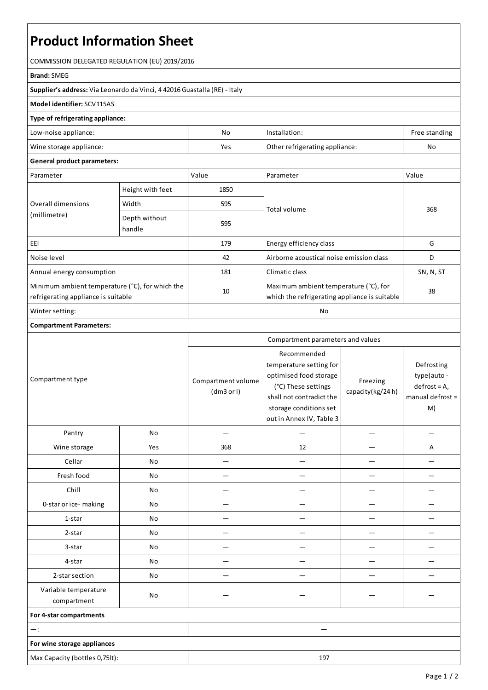# **Product Information Sheet**

COMMISSION DELEGATED REGULATION (EU) 2019/2016

#### **Brand:**SMEG

**Supplier's address:** ViaLeonardo da Vinci, 4 42016 Guastalla(RE) - Italy

### **Model identifier:**SCV115AS

#### **Type of refrigerating appliance:**

| Low-noise appliance:    | Nc  | Installation:                  | Free standing |
|-------------------------|-----|--------------------------------|---------------|
| Wine storage appliance: | Yes | Other refrigerating appliance: | No            |

## **General product parameters:**

| Parameter                                                                              |                         | Value | Parameter                                                                              | Value     |
|----------------------------------------------------------------------------------------|-------------------------|-------|----------------------------------------------------------------------------------------|-----------|
| Overall dimensions<br>(millimetre)                                                     | Height with feet        | 1850  |                                                                                        | 368       |
|                                                                                        | Width                   | 595   | Total volume                                                                           |           |
|                                                                                        | Depth without<br>handle | 595   |                                                                                        |           |
| EEI                                                                                    |                         | 179   | Energy efficiency class                                                                | G         |
| Noise level                                                                            |                         | 42    | Airborne acoustical noise emission class                                               | D         |
| Annual energy consumption                                                              |                         | 181   | Climatic class                                                                         | SN, N, ST |
| Minimum ambient temperature (°C), for which the<br>refrigerating appliance is suitable |                         | 10    | Maximum ambient temperature (°C), for<br>which the refrigerating appliance is suitable | 38        |
| Winter setting:                                                                        |                         | No    |                                                                                        |           |

### **Compartment Parameters:**

| Compartment type                    |     | Compartment parameters and values |                                                                                                                                                                           |                              |                                                                      |
|-------------------------------------|-----|-----------------------------------|---------------------------------------------------------------------------------------------------------------------------------------------------------------------------|------------------------------|----------------------------------------------------------------------|
|                                     |     | Compartment volume<br>(dm3 or l)  | Recommended<br>temperature setting for<br>optimised food storage<br>(°C) These settings<br>shall not contradict the<br>storage conditions set<br>out in Annex IV, Table 3 | Freezing<br>capacity(kg/24h) | Defrosting<br>type(auto-<br>$defrost = A,$<br>manual defrost =<br>M) |
| Pantry                              | No  |                                   |                                                                                                                                                                           |                              |                                                                      |
| Wine storage                        | Yes | 368                               | 12                                                                                                                                                                        |                              | Α                                                                    |
| Cellar                              | No  |                                   |                                                                                                                                                                           |                              |                                                                      |
| Fresh food                          | No  |                                   |                                                                                                                                                                           |                              |                                                                      |
| Chill                               | No  |                                   |                                                                                                                                                                           |                              |                                                                      |
| 0-star or ice-making                | No  |                                   |                                                                                                                                                                           |                              |                                                                      |
| 1-star                              | No  |                                   |                                                                                                                                                                           |                              |                                                                      |
| 2-star                              | No  |                                   |                                                                                                                                                                           |                              |                                                                      |
| 3-star                              | No  |                                   |                                                                                                                                                                           |                              |                                                                      |
| 4-star                              | No  |                                   |                                                                                                                                                                           |                              |                                                                      |
| 2-star section                      | No  |                                   |                                                                                                                                                                           |                              |                                                                      |
| Variable temperature<br>compartment | No  |                                   |                                                                                                                                                                           |                              |                                                                      |
| For 4-star compartments             |     |                                   |                                                                                                                                                                           |                              |                                                                      |
| $-$ :                               |     |                                   |                                                                                                                                                                           |                              |                                                                      |
| For wine storage appliances         |     |                                   |                                                                                                                                                                           |                              |                                                                      |
| Max Capacity (bottles 0,75lt):      |     |                                   | 197                                                                                                                                                                       |                              |                                                                      |